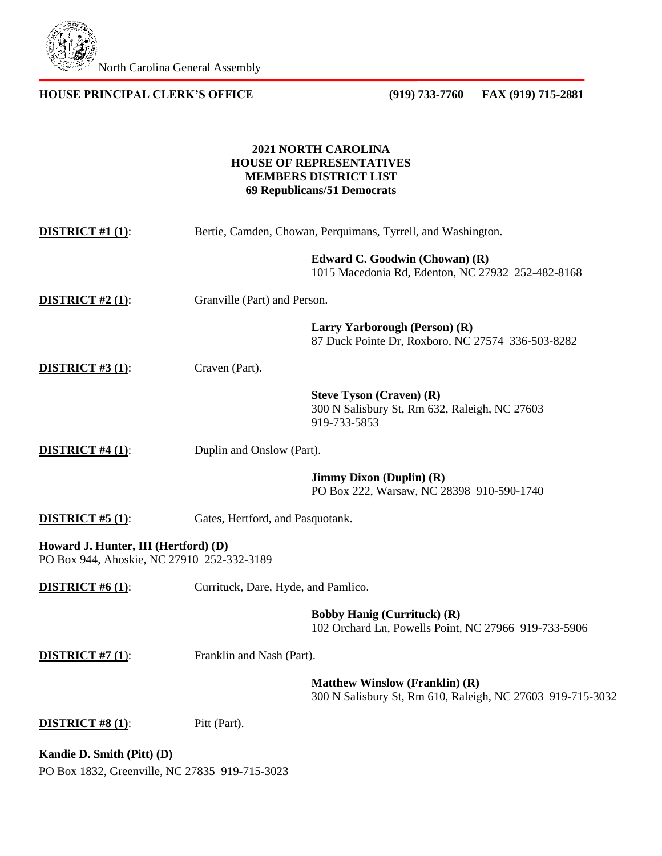

## **HOUSE PRINCIPAL CLERK'S OFFICE (919) 733-7760 FAX (919) 715-2881**

# **2021 NORTH CAROLINA HOUSE OF REPRESENTATIVES MEMBERS DISTRICT LIST 69 Republicans/51 Democrats**

| <b>DISTRICT #1 (1):</b>                                                            | Bertie, Camden, Chowan, Perquimans, Tyrrell, and Washington. |                                                                                                     |
|------------------------------------------------------------------------------------|--------------------------------------------------------------|-----------------------------------------------------------------------------------------------------|
|                                                                                    |                                                              | Edward C. Goodwin (Chowan) (R)<br>1015 Macedonia Rd, Edenton, NC 27932 252-482-8168                 |
| <b>DISTRICT</b> #2 $(1)$ :                                                         | Granville (Part) and Person.                                 |                                                                                                     |
|                                                                                    |                                                              | Larry Yarborough (Person) (R)<br>87 Duck Pointe Dr, Roxboro, NC 27574 336-503-8282                  |
| <b>DISTRICT</b> #3 $(1)$ :                                                         | Craven (Part).                                               |                                                                                                     |
|                                                                                    |                                                              | <b>Steve Tyson (Craven) (R)</b><br>300 N Salisbury St, Rm 632, Raleigh, NC 27603<br>919-733-5853    |
| <b>DISTRICT #4 (1):</b>                                                            | Duplin and Onslow (Part).                                    |                                                                                                     |
|                                                                                    |                                                              | <b>Jimmy Dixon (Duplin) (R)</b><br>PO Box 222, Warsaw, NC 28398 910-590-1740                        |
| <b>DISTRICT</b> #5 $(1)$ :                                                         | Gates, Hertford, and Pasquotank.                             |                                                                                                     |
| Howard J. Hunter, III (Hertford) (D)<br>PO Box 944, Ahoskie, NC 27910 252-332-3189 |                                                              |                                                                                                     |
| <b>DISTRICT</b> #6 $(1)$ :                                                         | Currituck, Dare, Hyde, and Pamlico.                          |                                                                                                     |
|                                                                                    |                                                              | <b>Bobby Hanig (Currituck) (R)</b><br>102 Orchard Ln, Powells Point, NC 27966 919-733-5906          |
| <b>DISTRICT</b> #7 $(1)$ :                                                         | Franklin and Nash (Part).                                    |                                                                                                     |
|                                                                                    |                                                              | <b>Matthew Winslow (Franklin) (R)</b><br>300 N Salisbury St, Rm 610, Raleigh, NC 27603 919-715-3032 |
| <b>DISTRICT</b> #8 $(1)$ :                                                         | Pitt (Part).                                                 |                                                                                                     |
| Kandie D. Smith (Pitt) (D)                                                         |                                                              |                                                                                                     |

PO Box 1832, Greenville, NC 27835 919-715-3023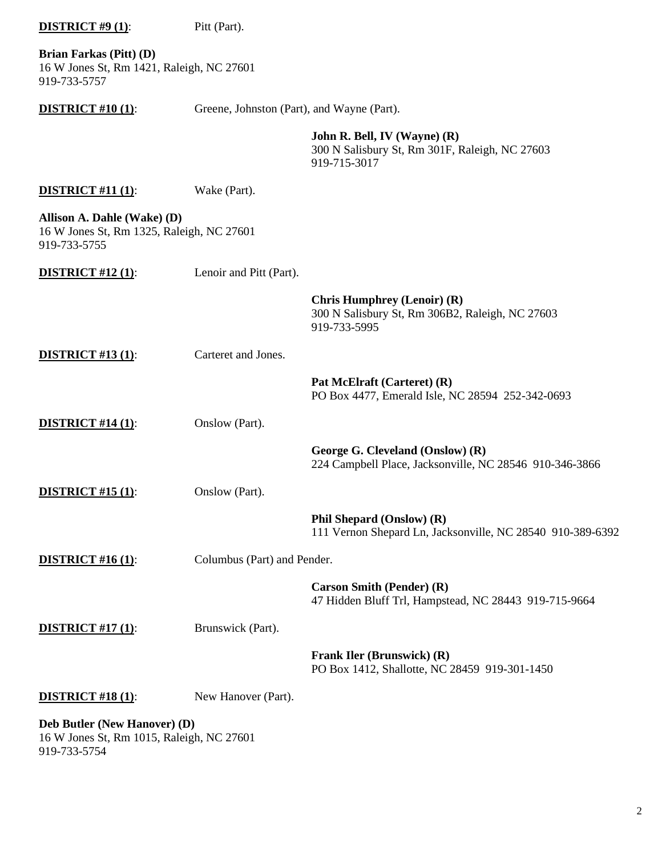| <b>DISTRICT</b> #9 $(1)$ :                                                               | Pitt (Part).                               |                                                                                                       |
|------------------------------------------------------------------------------------------|--------------------------------------------|-------------------------------------------------------------------------------------------------------|
| Brian Farkas (Pitt) (D)<br>16 W Jones St, Rm 1421, Raleigh, NC 27601<br>919-733-5757     |                                            |                                                                                                       |
| <b>DISTRICT #10 (1):</b>                                                                 | Greene, Johnston (Part), and Wayne (Part). |                                                                                                       |
|                                                                                          |                                            | John R. Bell, IV (Wayne) (R)<br>300 N Salisbury St, Rm 301F, Raleigh, NC 27603<br>919-715-3017        |
| <b>DISTRICT</b> #11 $(1)$ :                                                              | Wake (Part).                               |                                                                                                       |
| Allison A. Dahle (Wake) (D)<br>16 W Jones St, Rm 1325, Raleigh, NC 27601<br>919-733-5755 |                                            |                                                                                                       |
| <b>DISTRICT</b> #12 $(1)$ :                                                              | Lenoir and Pitt (Part).                    |                                                                                                       |
|                                                                                          |                                            | <b>Chris Humphrey (Lenoir) (R)</b><br>300 N Salisbury St, Rm 306B2, Raleigh, NC 27603<br>919-733-5995 |
| <b>DISTRICT #13 (1):</b>                                                                 | Carteret and Jones.                        |                                                                                                       |
|                                                                                          |                                            | Pat McElraft (Carteret) (R)<br>PO Box 4477, Emerald Isle, NC 28594 252-342-0693                       |
| <b>DISTRICT #14 (1):</b>                                                                 | Onslow (Part).                             |                                                                                                       |
|                                                                                          |                                            | George G. Cleveland (Onslow) (R)<br>224 Campbell Place, Jacksonville, NC 28546 910-346-3866           |
| <b>DISTRICT #15 (1):</b>                                                                 | Onslow (Part).                             |                                                                                                       |
|                                                                                          |                                            | Phil Shepard (Onslow) (R)<br>111 Vernon Shepard Ln, Jacksonville, NC 28540 910-389-6392               |
| <b>DISTRICT</b> #16 $(1)$ :                                                              | Columbus (Part) and Pender.                |                                                                                                       |
|                                                                                          |                                            | <b>Carson Smith (Pender) (R)</b><br>47 Hidden Bluff Trl, Hampstead, NC 28443 919-715-9664             |
| <b>DISTRICT #17 (1):</b>                                                                 | Brunswick (Part).                          |                                                                                                       |
|                                                                                          |                                            | Frank Iler (Brunswick) (R)<br>PO Box 1412, Shallotte, NC 28459 919-301-1450                           |
| <b>DISTRICT #18 (1):</b>                                                                 | New Hanover (Part).                        |                                                                                                       |
| Deb Butler (New Hanover) (D)                                                             |                                            |                                                                                                       |

16 W Jones St, Rm 1015, Raleigh, NC 27601 919-733-5754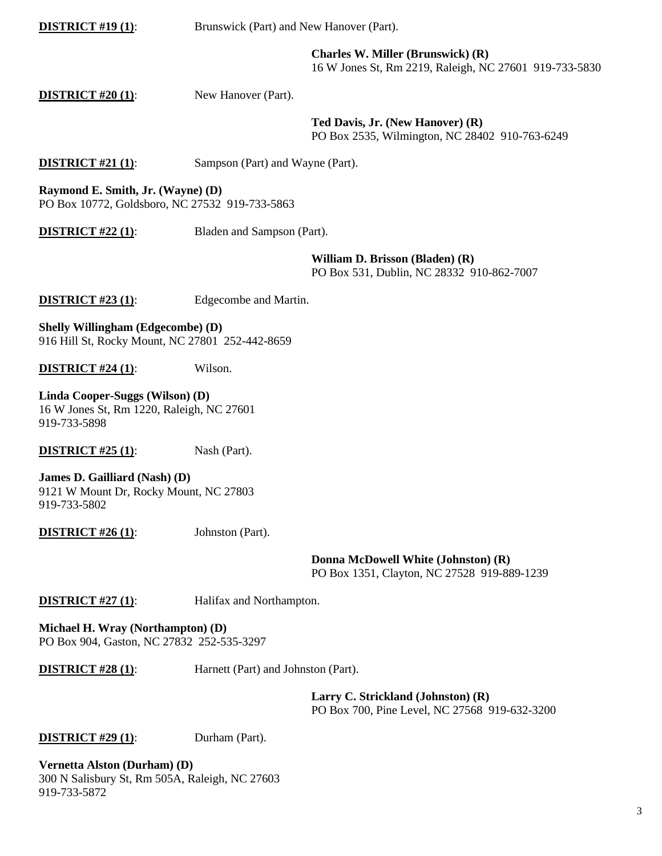**DISTRICT #19 (1):** Brunswick (Part) and New Hanover (Part).

**Charles W. Miller (Brunswick) (R)** 16 W Jones St, Rm 2219, Raleigh, NC 27601 919-733-5830

**DISTRICT #20 (1):** New Hanover (Part).

**Ted Davis, Jr. (New Hanover) (R)** PO Box 2535, Wilmington, NC 28402 910-763-6249

**DISTRICT #21 (1):** Sampson (Part) and Wayne (Part).

**Raymond E. Smith, Jr. (Wayne) (D)** PO Box 10772, Goldsboro, NC 27532 919-733-5863

**DISTRICT #22 (1):** Bladen and Sampson (Part).

**William D. Brisson (Bladen) (R)**

PO Box 531, Dublin, NC 28332 910-862-7007

**DISTRICT #23 (1):** Edgecombe and Martin.

**Shelly Willingham (Edgecombe) (D)** 916 Hill St, Rocky Mount, NC 27801 252-442-8659

**DISTRICT** #24 (1): Wilson.

**Linda Cooper-Suggs (Wilson) (D)** 16 W Jones St, Rm 1220, Raleigh, NC 27601 919-733-5898

**DISTRICT #25 (1):** Nash (Part).

**James D. Gailliard (Nash) (D)** 9121 W Mount Dr, Rocky Mount, NC 27803 919-733-5802

**DISTRICT** #26 (1): Johnston (Part).

**Donna McDowell White (Johnston) (R)** PO Box 1351, Clayton, NC 27528 919-889-1239

**DISTRICT #27 (1):** Halifax and Northampton.

**Michael H. Wray (Northampton) (D)** PO Box 904, Gaston, NC 27832 252-535-3297

**DISTRICT #28 (1)**: Harnett (Part) and Johnston (Part).

**Larry C. Strickland (Johnston) (R)** PO Box 700, Pine Level, NC 27568 919-632-3200

#### **DISTRICT #29 (1):** Durham (Part).

**Vernetta Alston (Durham) (D)** 300 N Salisbury St, Rm 505A, Raleigh, NC 27603 919-733-5872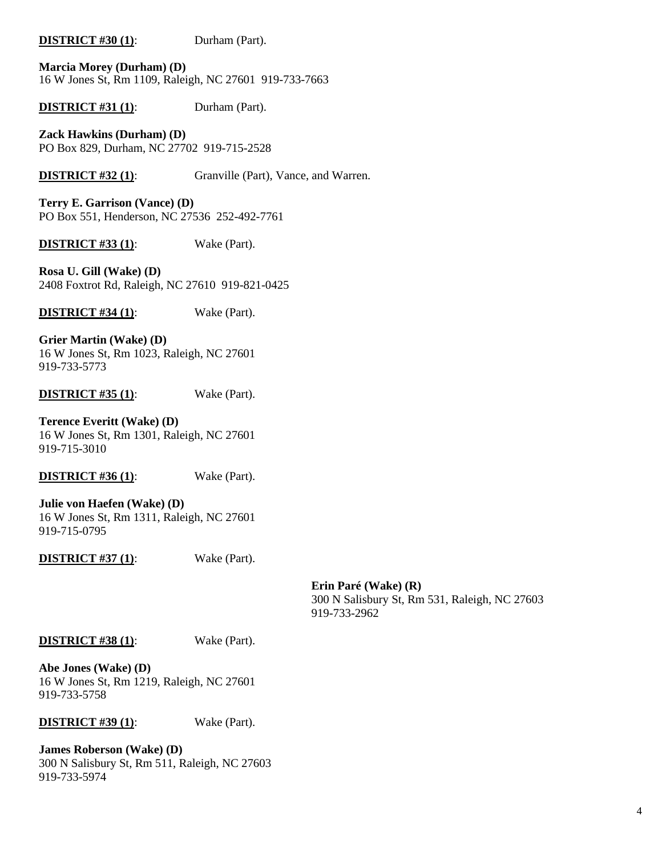### **DISTRICT #30 (1)**: Durham (Part).

**Marcia Morey (Durham) (D)** 16 W Jones St, Rm 1109, Raleigh, NC 27601 919-733-7663

**DISTRICT #31 (1):** Durham (Part).

**Zack Hawkins (Durham) (D)** PO Box 829, Durham, NC 27702 919-715-2528

**DISTRICT #32 (1):** Granville (Part), Vance, and Warren.

**Terry E. Garrison (Vance) (D)** PO Box 551, Henderson, NC 27536 252-492-7761

**DISTRICT #33 (1)**: Wake (Part).

**Rosa U. Gill (Wake) (D)** 2408 Foxtrot Rd, Raleigh, NC 27610 919-821-0425

**DISTRICT #34 (1)**: Wake (Part).

**Grier Martin (Wake) (D)** 16 W Jones St, Rm 1023, Raleigh, NC 27601 919-733-5773

**DISTRICT #35 (1)**: Wake (Part).

**Terence Everitt (Wake) (D)** 16 W Jones St, Rm 1301, Raleigh, NC 27601 919-715-3010

**DISTRICT #36 (1)**: Wake (Part).

**Julie von Haefen (Wake) (D)** 16 W Jones St, Rm 1311, Raleigh, NC 27601 919-715-0795

**DISTRICT #37 (1)**: Wake (Part).

**Erin Paré (Wake) (R)** 300 N Salisbury St, Rm 531, Raleigh, NC 27603 919-733-2962

#### **DISTRICT #38 (1)**: Wake (Part).

**Abe Jones (Wake) (D)** 16 W Jones St, Rm 1219, Raleigh, NC 27601 919-733-5758

**DISTRICT #39 (1)**: Wake (Part).

**James Roberson (Wake) (D)** 300 N Salisbury St, Rm 511, Raleigh, NC 27603 919-733-5974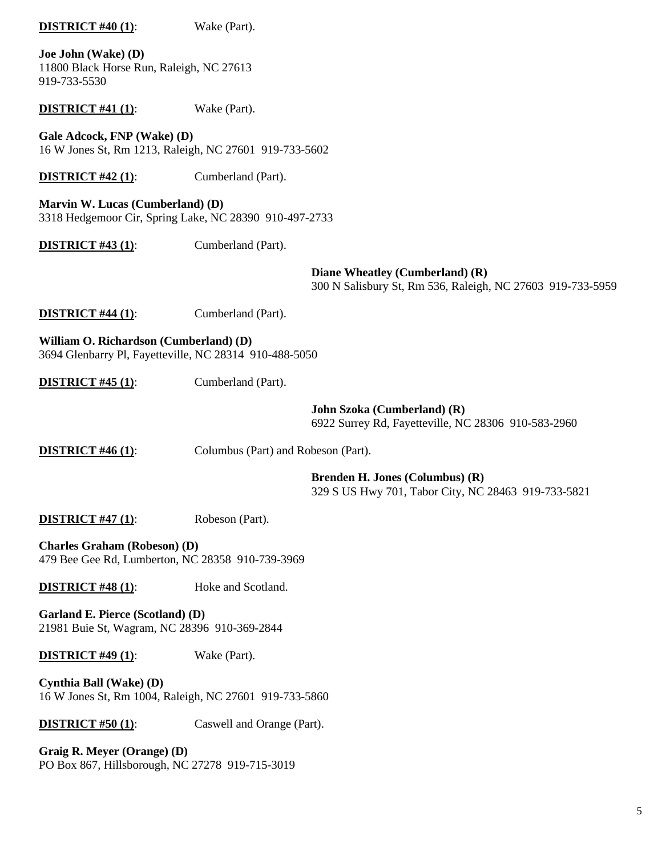| <b>DISTRICT #40 (1):</b>                                                                         | Wake (Part).                        |                                                                                               |
|--------------------------------------------------------------------------------------------------|-------------------------------------|-----------------------------------------------------------------------------------------------|
| Joe John (Wake) (D)<br>11800 Black Horse Run, Raleigh, NC 27613<br>919-733-5530                  |                                     |                                                                                               |
| <b>DISTRICT #41 (1):</b>                                                                         | Wake (Part).                        |                                                                                               |
| Gale Adcock, FNP (Wake) (D)<br>16 W Jones St, Rm 1213, Raleigh, NC 27601 919-733-5602            |                                     |                                                                                               |
| <b>DISTRICT #42 (1):</b>                                                                         | Cumberland (Part).                  |                                                                                               |
| Marvin W. Lucas (Cumberland) (D)<br>3318 Hedgemoor Cir, Spring Lake, NC 28390 910-497-2733       |                                     |                                                                                               |
| <b>DISTRICT #43 (1):</b>                                                                         | Cumberland (Part).                  |                                                                                               |
|                                                                                                  |                                     | Diane Wheatley (Cumberland) (R)<br>300 N Salisbury St, Rm 536, Raleigh, NC 27603 919-733-5959 |
| <b>DISTRICT #44 (1):</b>                                                                         | Cumberland (Part).                  |                                                                                               |
| William O. Richardson (Cumberland) (D)<br>3694 Glenbarry Pl, Fayetteville, NC 28314 910-488-5050 |                                     |                                                                                               |
| <b>DISTRICT #45 (1):</b>                                                                         | Cumberland (Part).                  |                                                                                               |
|                                                                                                  |                                     | John Szoka (Cumberland) (R)<br>6922 Surrey Rd, Fayetteville, NC 28306 910-583-2960            |
| <b>DISTRICT #46 (1):</b>                                                                         | Columbus (Part) and Robeson (Part). |                                                                                               |
|                                                                                                  |                                     | <b>Brenden H. Jones (Columbus) (R)</b><br>329 S US Hwy 701, Tabor City, NC 28463 919-733-5821 |
| <b>DISTRICT #47 (1):</b>                                                                         | Robeson (Part).                     |                                                                                               |
| <b>Charles Graham (Robeson) (D)</b><br>479 Bee Gee Rd, Lumberton, NC 28358 910-739-3969          |                                     |                                                                                               |
| DISTRICT #48 (1):                                                                                | Hoke and Scotland.                  |                                                                                               |
| Garland E. Pierce (Scotland) (D)<br>21981 Buie St, Wagram, NC 28396 910-369-2844                 |                                     |                                                                                               |
| <b>DISTRICT #49 (1):</b>                                                                         | Wake (Part).                        |                                                                                               |
| Cynthia Ball (Wake) (D)<br>16 W Jones St, Rm 1004, Raleigh, NC 27601 919-733-5860                |                                     |                                                                                               |
| <b>DISTRICT #50 (1):</b>                                                                         | Caswell and Orange (Part).          |                                                                                               |
| Graig R. Meyer (Orange) (D)<br>PO Box 867, Hillsborough, NC 27278 919-715-3019                   |                                     |                                                                                               |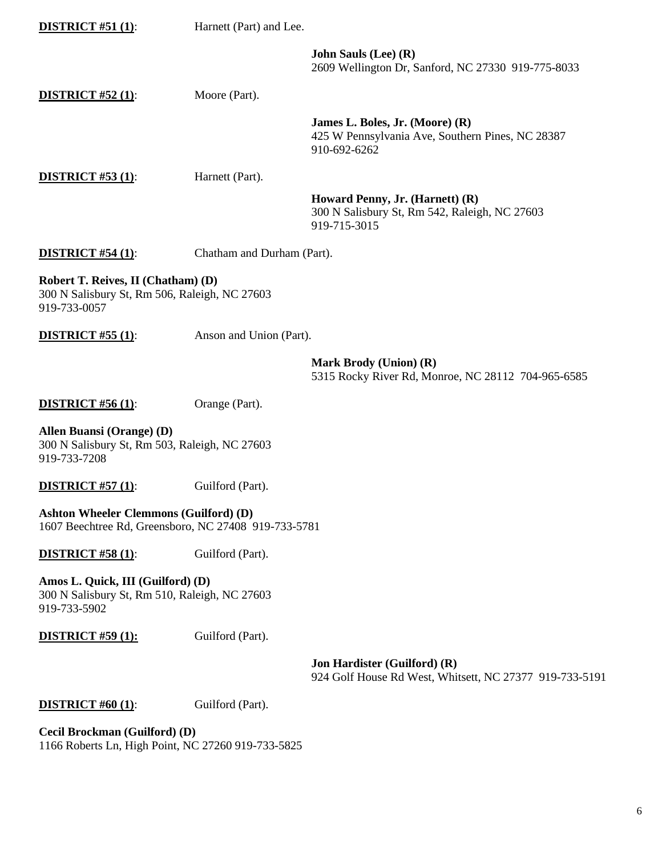| <b>DISTRICT #51 (1):</b>                                                                              | Harnett (Part) and Lee.    |                                                                                                     |
|-------------------------------------------------------------------------------------------------------|----------------------------|-----------------------------------------------------------------------------------------------------|
|                                                                                                       |                            | <b>John Sauls (Lee) (R)</b><br>2609 Wellington Dr, Sanford, NC 27330 919-775-8033                   |
| <b>DISTRICT #52 (1):</b>                                                                              | Moore (Part).              |                                                                                                     |
|                                                                                                       |                            | James L. Boles, Jr. (Moore) (R)<br>425 W Pennsylvania Ave, Southern Pines, NC 28387<br>910-692-6262 |
| <b>DISTRICT #53 (1):</b>                                                                              | Harnett (Part).            |                                                                                                     |
|                                                                                                       |                            | Howard Penny, Jr. (Harnett) (R)<br>300 N Salisbury St, Rm 542, Raleigh, NC 27603<br>919-715-3015    |
| <b>DISTRICT #54 (1):</b>                                                                              | Chatham and Durham (Part). |                                                                                                     |
| Robert T. Reives, II (Chatham) (D)<br>300 N Salisbury St, Rm 506, Raleigh, NC 27603<br>919-733-0057   |                            |                                                                                                     |
| <b>DISTRICT #55 (1):</b>                                                                              | Anson and Union (Part).    |                                                                                                     |
|                                                                                                       |                            | <b>Mark Brody (Union) (R)</b><br>5315 Rocky River Rd, Monroe, NC 28112 704-965-6585                 |
| <b>DISTRICT #56 (1):</b>                                                                              | Orange (Part).             |                                                                                                     |
| Allen Buansi (Orange) (D)<br>300 N Salisbury St, Rm 503, Raleigh, NC 27603<br>919-733-7208            |                            |                                                                                                     |
| <b>DISTRICT #57 (1):</b>                                                                              | Guilford (Part).           |                                                                                                     |
| <b>Ashton Wheeler Clemmons (Guilford) (D)</b><br>1607 Beechtree Rd, Greensboro, NC 27408 919-733-5781 |                            |                                                                                                     |
| <b>DISTRICT #58 (1):</b>                                                                              | Guilford (Part).           |                                                                                                     |
| Amos L. Quick, III (Guilford) (D)<br>300 N Salisbury St, Rm 510, Raleigh, NC 27603<br>919-733-5902    |                            |                                                                                                     |
| <b>DISTRICT #59 (1):</b>                                                                              | Guilford (Part).           |                                                                                                     |
|                                                                                                       |                            | <b>Jon Hardister (Guilford) (R)</b><br>924 Golf House Rd West, Whitsett, NC 27377 919-733-5191      |
| <b>DISTRICT #60 (1):</b>                                                                              | Guilford (Part).           |                                                                                                     |
| Cecil Brockman (Guilford) (D)<br>1166 Roberts Ln, High Point, NC 27260 919-733-5825                   |                            |                                                                                                     |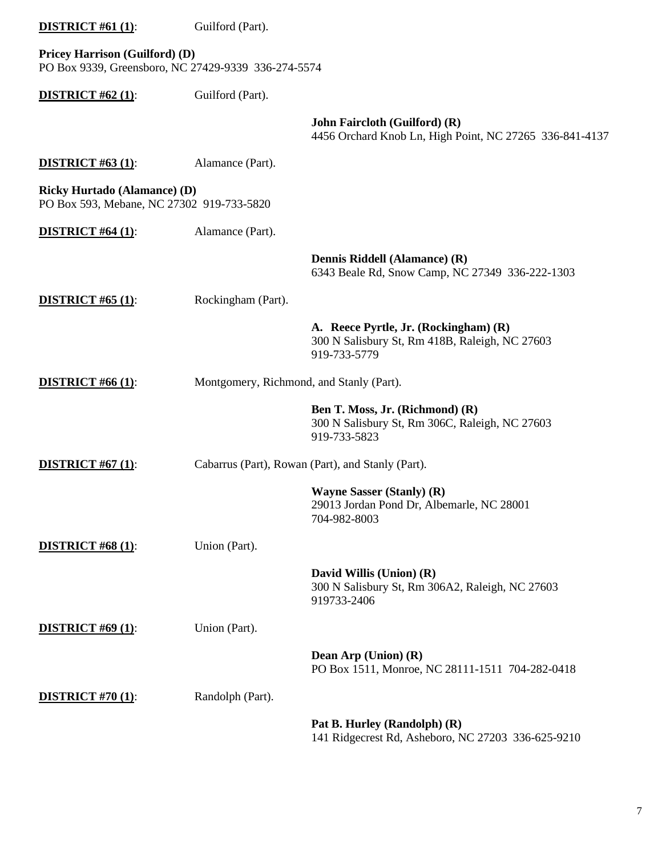| <b>DISTRICT</b> #61 $(1)$ :                                                                  | Guilford (Part).                         |                                                                                                         |
|----------------------------------------------------------------------------------------------|------------------------------------------|---------------------------------------------------------------------------------------------------------|
| <b>Pricey Harrison (Guilford) (D)</b><br>PO Box 9339, Greensboro, NC 27429-9339 336-274-5574 |                                          |                                                                                                         |
| <b>DISTRICT #62 (1):</b>                                                                     | Guilford (Part).                         |                                                                                                         |
|                                                                                              |                                          | John Faircloth (Guilford) (R)<br>4456 Orchard Knob Ln, High Point, NC 27265 336-841-4137                |
| <b>DISTRICT #63 (1):</b>                                                                     | Alamance (Part).                         |                                                                                                         |
| <b>Ricky Hurtado (Alamance) (D)</b><br>PO Box 593, Mebane, NC 27302 919-733-5820             |                                          |                                                                                                         |
| <b>DISTRICT #64 (1):</b>                                                                     | Alamance (Part).                         |                                                                                                         |
|                                                                                              |                                          | Dennis Riddell (Alamance) (R)<br>6343 Beale Rd, Snow Camp, NC 27349 336-222-1303                        |
| <b>DISTRICT</b> #65 $(1)$ :                                                                  | Rockingham (Part).                       |                                                                                                         |
|                                                                                              |                                          | A. Reece Pyrtle, Jr. (Rockingham) (R)<br>300 N Salisbury St, Rm 418B, Raleigh, NC 27603<br>919-733-5779 |
| <b>DISTRICT #66 (1):</b>                                                                     | Montgomery, Richmond, and Stanly (Part). |                                                                                                         |
|                                                                                              |                                          | Ben T. Moss, Jr. (Richmond) (R)<br>300 N Salisbury St, Rm 306C, Raleigh, NC 27603<br>919-733-5823       |
| <b>DISTRICT</b> #67 $(1)$ :                                                                  |                                          | Cabarrus (Part), Rowan (Part), and Stanly (Part).                                                       |
|                                                                                              |                                          | <b>Wayne Sasser (Stanly) (R)</b><br>29013 Jordan Pond Dr, Albemarle, NC 28001<br>704-982-8003           |
| <b>DISTRICT #68 (1):</b>                                                                     | Union (Part).                            |                                                                                                         |
|                                                                                              |                                          | David Willis (Union) (R)<br>300 N Salisbury St, Rm 306A2, Raleigh, NC 27603<br>919733-2406              |
| <b>DISTRICT #69 (1):</b>                                                                     | Union (Part).                            |                                                                                                         |
|                                                                                              |                                          | Dean Arp (Union) (R)<br>PO Box 1511, Monroe, NC 28111-1511 704-282-0418                                 |
| <b>DISTRICT #70 (1):</b>                                                                     | Randolph (Part).                         |                                                                                                         |
|                                                                                              |                                          | Pat B. Hurley (Randolph) (R)<br>141 Ridgecrest Rd, Asheboro, NC 27203 336-625-9210                      |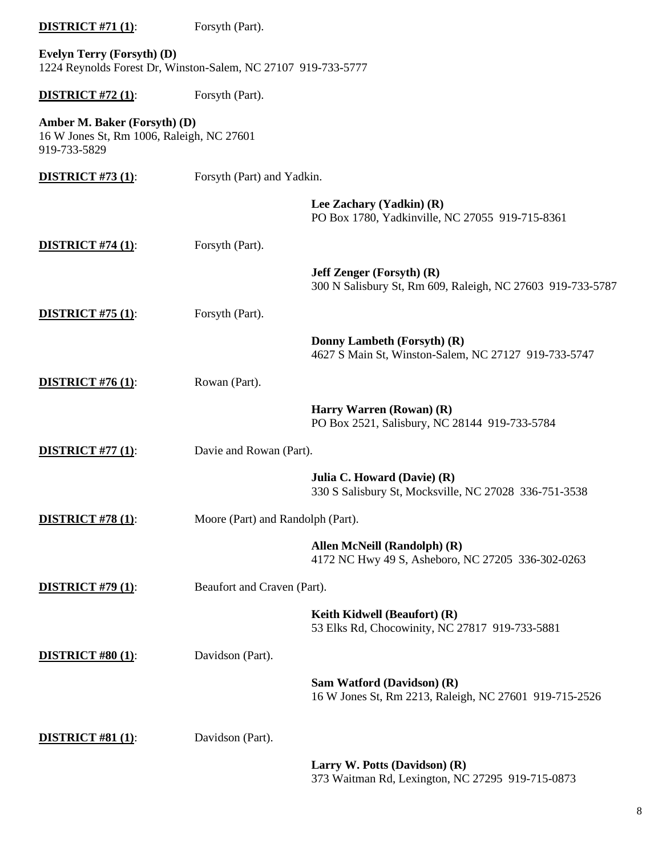| <b>DISTRICT #71 (1):</b>                                                                    | Forsyth (Part).                   |                                                                                                |
|---------------------------------------------------------------------------------------------|-----------------------------------|------------------------------------------------------------------------------------------------|
| Evelyn Terry (Forsyth) (D)<br>1224 Reynolds Forest Dr, Winston-Salem, NC 27107 919-733-5777 |                                   |                                                                                                |
| <b>DISTRICT #72 (1):</b>                                                                    | Forsyth (Part).                   |                                                                                                |
| Amber M. Baker (Forsyth) (D)<br>16 W Jones St, Rm 1006, Raleigh, NC 27601<br>919-733-5829   |                                   |                                                                                                |
| <b>DISTRICT #73 (1):</b>                                                                    | Forsyth (Part) and Yadkin.        |                                                                                                |
|                                                                                             |                                   | Lee Zachary (Yadkin) (R)<br>PO Box 1780, Yadkinville, NC 27055 919-715-8361                    |
| <b>DISTRICT #74 (1):</b>                                                                    | Forsyth (Part).                   |                                                                                                |
|                                                                                             |                                   | <b>Jeff Zenger (Forsyth) (R)</b><br>300 N Salisbury St, Rm 609, Raleigh, NC 27603 919-733-5787 |
| <b>DISTRICT #75 (1):</b>                                                                    | Forsyth (Part).                   |                                                                                                |
|                                                                                             |                                   | Donny Lambeth (Forsyth) (R)<br>4627 S Main St, Winston-Salem, NC 27127 919-733-5747            |
| <b>DISTRICT #76 (1):</b>                                                                    | Rowan (Part).                     |                                                                                                |
|                                                                                             |                                   | Harry Warren (Rowan) (R)<br>PO Box 2521, Salisbury, NC 28144 919-733-5784                      |
| <b>DISTRICT #77 (1):</b>                                                                    | Davie and Rowan (Part).           |                                                                                                |
|                                                                                             |                                   | Julia C. Howard (Davie) (R)<br>330 S Salisbury St, Mocksville, NC 27028 336-751-3538           |
| <b>DISTRICT #78 (1):</b>                                                                    | Moore (Part) and Randolph (Part). |                                                                                                |
|                                                                                             |                                   | Allen McNeill (Randolph) (R)<br>4172 NC Hwy 49 S, Asheboro, NC 27205 336-302-0263              |
| <b>DISTRICT #79 (1):</b>                                                                    | Beaufort and Craven (Part).       |                                                                                                |
|                                                                                             |                                   | Keith Kidwell (Beaufort) (R)<br>53 Elks Rd, Chocowinity, NC 27817 919-733-5881                 |
| <b>DISTRICT #80 (1):</b>                                                                    | Davidson (Part).                  |                                                                                                |
|                                                                                             |                                   | Sam Watford (Davidson) (R)<br>16 W Jones St, Rm 2213, Raleigh, NC 27601 919-715-2526           |
| <b>DISTRICT</b> #81 $(1)$ :                                                                 | Davidson (Part).                  |                                                                                                |
|                                                                                             |                                   | Larry W. Potts (Davidson) (R)<br>373 Waitman Rd, Lexington, NC 27295 919-715-0873              |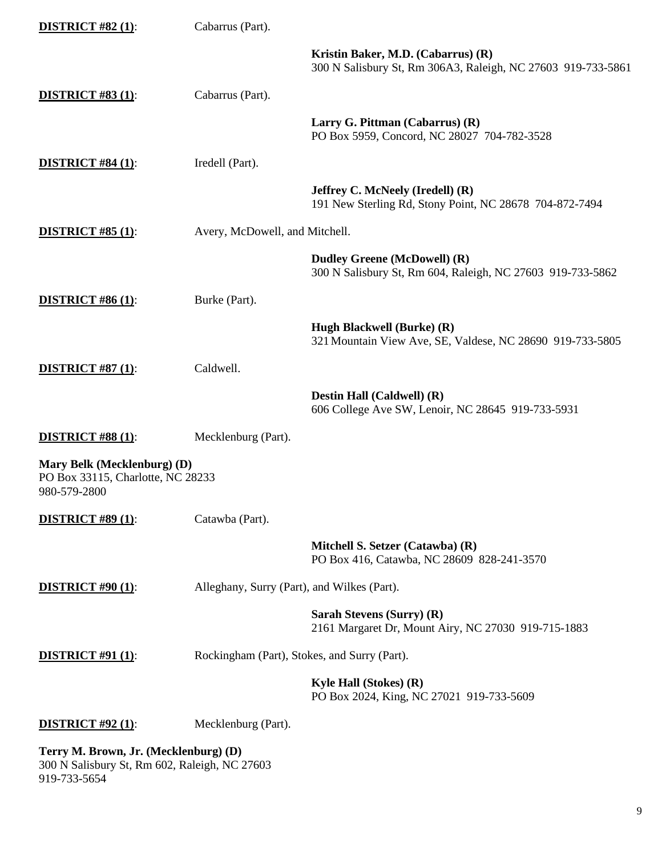| <b>DISTRICT #82 (1):</b>                                                         | Cabarrus (Part).               |                                                                                                    |
|----------------------------------------------------------------------------------|--------------------------------|----------------------------------------------------------------------------------------------------|
|                                                                                  |                                | Kristin Baker, M.D. (Cabarrus) (R)<br>300 N Salisbury St, Rm 306A3, Raleigh, NC 27603 919-733-5861 |
| <b>DISTRICT #83 (1):</b>                                                         | Cabarrus (Part).               |                                                                                                    |
|                                                                                  |                                | Larry G. Pittman (Cabarrus) (R)<br>PO Box 5959, Concord, NC 28027 704-782-3528                     |
| <b>DISTRICT #84 (1):</b>                                                         | Iredell (Part).                |                                                                                                    |
|                                                                                  |                                | <b>Jeffrey C. McNeely (Iredell) (R)</b><br>191 New Sterling Rd, Stony Point, NC 28678 704-872-7494 |
| <b>DISTRICT #85 (1):</b>                                                         | Avery, McDowell, and Mitchell. |                                                                                                    |
|                                                                                  |                                | <b>Dudley Greene (McDowell) (R)</b><br>300 N Salisbury St, Rm 604, Raleigh, NC 27603 919-733-5862  |
| <b>DISTRICT #86 (1):</b>                                                         | Burke (Part).                  |                                                                                                    |
|                                                                                  |                                | Hugh Blackwell (Burke) (R)<br>321 Mountain View Ave, SE, Valdese, NC 28690 919-733-5805            |
| <b>DISTRICT #87 (1):</b>                                                         | Caldwell.                      |                                                                                                    |
|                                                                                  |                                | Destin Hall (Caldwell) (R)<br>606 College Ave SW, Lenoir, NC 28645 919-733-5931                    |
| <b>DISTRICT #88 (1):</b>                                                         | Mecklenburg (Part).            |                                                                                                    |
| Mary Belk (Mecklenburg) (D)<br>PO Box 33115, Charlotte, NC 28233<br>980-579-2800 |                                |                                                                                                    |
| <b>DISTRICT #89 (1):</b>                                                         | Catawba (Part).                |                                                                                                    |
|                                                                                  |                                | Mitchell S. Setzer (Catawba) (R)<br>PO Box 416, Catawba, NC 28609 828-241-3570                     |
| <b>DISTRICT #90 (1):</b>                                                         |                                | Alleghany, Surry (Part), and Wilkes (Part).                                                        |
|                                                                                  |                                | Sarah Stevens (Surry) (R)<br>2161 Margaret Dr, Mount Airy, NC 27030 919-715-1883                   |
| <b>DISTRICT #91 (1):</b>                                                         |                                | Rockingham (Part), Stokes, and Surry (Part).                                                       |
|                                                                                  |                                | Kyle Hall (Stokes) (R)<br>PO Box 2024, King, NC 27021 919-733-5609                                 |
| <b>DISTRICT #92 (1):</b>                                                         | Mecklenburg (Part).            |                                                                                                    |
|                                                                                  |                                |                                                                                                    |

**Terry M. Brown, Jr. (Mecklenburg) (D)** 300 N Salisbury St, Rm 602, Raleigh, NC 27603 919-733-5654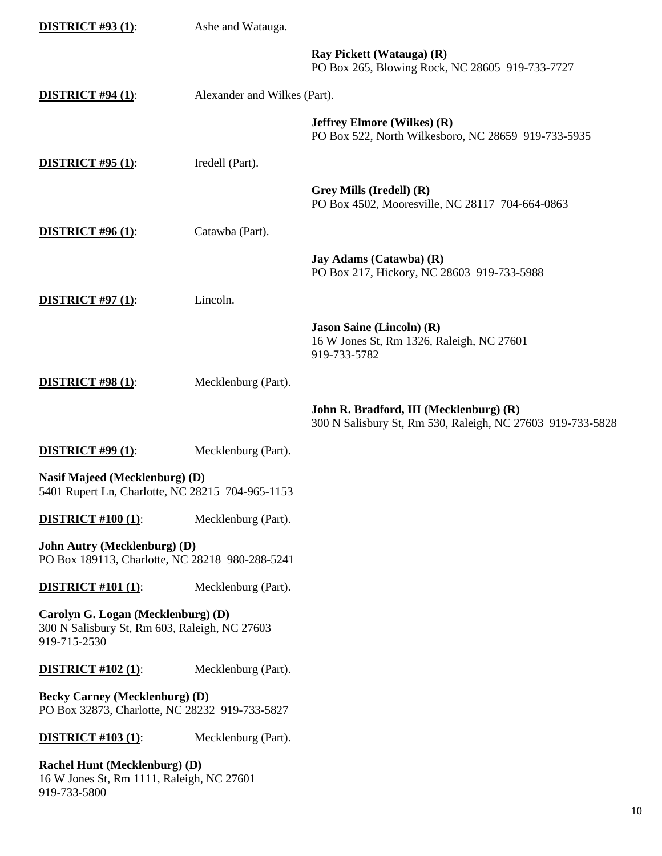| <b>DISTRICT #93 (1):</b>                                                                            | Ashe and Watauga.            |                                                                                                       |
|-----------------------------------------------------------------------------------------------------|------------------------------|-------------------------------------------------------------------------------------------------------|
|                                                                                                     |                              | Ray Pickett (Watauga) (R)<br>PO Box 265, Blowing Rock, NC 28605 919-733-7727                          |
| <b>DISTRICT #94 (1):</b>                                                                            | Alexander and Wilkes (Part). |                                                                                                       |
|                                                                                                     |                              | <b>Jeffrey Elmore (Wilkes) (R)</b><br>PO Box 522, North Wilkesboro, NC 28659 919-733-5935             |
| <b>DISTRICT #95 (1):</b>                                                                            | Iredell (Part).              |                                                                                                       |
|                                                                                                     |                              | Grey Mills (Iredell) (R)<br>PO Box 4502, Mooresville, NC 28117 704-664-0863                           |
| <b>DISTRICT #96 (1):</b>                                                                            | Catawba (Part).              |                                                                                                       |
|                                                                                                     |                              | Jay Adams (Catawba) (R)<br>PO Box 217, Hickory, NC 28603 919-733-5988                                 |
| <b>DISTRICT #97 (1):</b>                                                                            | Lincoln.                     |                                                                                                       |
|                                                                                                     |                              | <b>Jason Saine (Lincoln) (R)</b><br>16 W Jones St, Rm 1326, Raleigh, NC 27601<br>919-733-5782         |
| <b>DISTRICT #98 (1):</b>                                                                            | Mecklenburg (Part).          |                                                                                                       |
|                                                                                                     |                              | John R. Bradford, III (Mecklenburg) (R)<br>300 N Salisbury St, Rm 530, Raleigh, NC 27603 919-733-5828 |
| <b>DISTRICT #99 (1):</b>                                                                            | Mecklenburg (Part).          |                                                                                                       |
| Nasif Majeed (Mecklenburg) (D)<br>5401 Rupert Ln, Charlotte, NC 28215 704-965-1153                  |                              |                                                                                                       |
| <b>DISTRICT #100 (1):</b>                                                                           | Mecklenburg (Part).          |                                                                                                       |
| <b>John Autry (Mecklenburg) (D)</b><br>PO Box 189113, Charlotte, NC 28218 980-288-5241              |                              |                                                                                                       |
| <b>DISTRICT #101 (1):</b>                                                                           | Mecklenburg (Part).          |                                                                                                       |
| Carolyn G. Logan (Mecklenburg) (D)<br>300 N Salisbury St, Rm 603, Raleigh, NC 27603<br>919-715-2530 |                              |                                                                                                       |
| <b>DISTRICT #102 (1):</b>                                                                           | Mecklenburg (Part).          |                                                                                                       |
| <b>Becky Carney (Mecklenburg) (D)</b><br>PO Box 32873, Charlotte, NC 28232 919-733-5827             |                              |                                                                                                       |
| <b>DISTRICT #103 (1):</b>                                                                           | Mecklenburg (Part).          |                                                                                                       |
| <b>Rachel Hunt (Mecklenburg) (D)</b><br>16 W Jones St, Rm 1111, Raleigh, NC 27601<br>919-733-5800   |                              |                                                                                                       |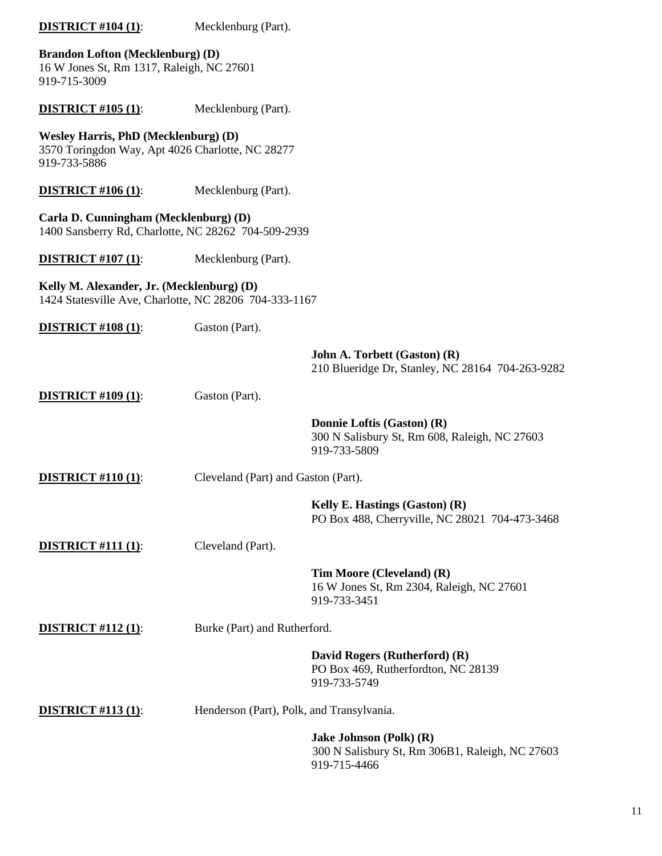| <b>DISTRICT #104 (1):</b>                                                                                       | Mecklenburg (Part).                       |                                                                                             |
|-----------------------------------------------------------------------------------------------------------------|-------------------------------------------|---------------------------------------------------------------------------------------------|
| <b>Brandon Lofton (Mecklenburg) (D)</b><br>16 W Jones St, Rm 1317, Raleigh, NC 27601<br>919-715-3009            |                                           |                                                                                             |
| <b>DISTRICT #105 (1):</b>                                                                                       | Mecklenburg (Part).                       |                                                                                             |
| <b>Wesley Harris, PhD (Mecklenburg) (D)</b><br>3570 Toringdon Way, Apt 4026 Charlotte, NC 28277<br>919-733-5886 |                                           |                                                                                             |
| <b>DISTRICT #106 (1):</b>                                                                                       | Mecklenburg (Part).                       |                                                                                             |
| Carla D. Cunningham (Mecklenburg) (D)<br>1400 Sansberry Rd, Charlotte, NC 28262 704-509-2939                    |                                           |                                                                                             |
| <b>DISTRICT #107 (1):</b>                                                                                       | Mecklenburg (Part).                       |                                                                                             |
| Kelly M. Alexander, Jr. (Mecklenburg) (D)<br>1424 Statesville Ave, Charlotte, NC 28206 704-333-1167             |                                           |                                                                                             |
| <b>DISTRICT #108 (1):</b>                                                                                       | Gaston (Part).                            |                                                                                             |
|                                                                                                                 |                                           | John A. Torbett (Gaston) (R)<br>210 Blueridge Dr, Stanley, NC 28164 704-263-9282            |
| <b>DISTRICT #109 (1):</b>                                                                                       | Gaston (Part).                            |                                                                                             |
|                                                                                                                 |                                           | Donnie Loftis (Gaston) (R)<br>300 N Salisbury St, Rm 608, Raleigh, NC 27603<br>919-733-5809 |
| <b>DISTRICT #110 (1):</b>                                                                                       | Cleveland (Part) and Gaston (Part).       |                                                                                             |
|                                                                                                                 |                                           | Kelly E. Hastings (Gaston) (R)<br>PO Box 488, Cherryville, NC 28021 704-473-3468            |
| <b>DISTRICT #111 (1):</b>                                                                                       | Cleveland (Part).                         |                                                                                             |
|                                                                                                                 |                                           | Tim Moore (Cleveland) (R)<br>16 W Jones St, Rm 2304, Raleigh, NC 27601<br>919-733-3451      |
| <b>DISTRICT #112 (1):</b>                                                                                       | Burke (Part) and Rutherford.              |                                                                                             |
|                                                                                                                 |                                           | David Rogers (Rutherford) (R)<br>PO Box 469, Rutherfordton, NC 28139<br>919-733-5749        |
| <b>DISTRICT #113 (1):</b>                                                                                       | Henderson (Part), Polk, and Transylvania. |                                                                                             |
|                                                                                                                 |                                           | Jake Johnson (Polk) (R)<br>300 N Salisbury St, Rm 306B1, Raleigh, NC 27603<br>919-715-4466  |